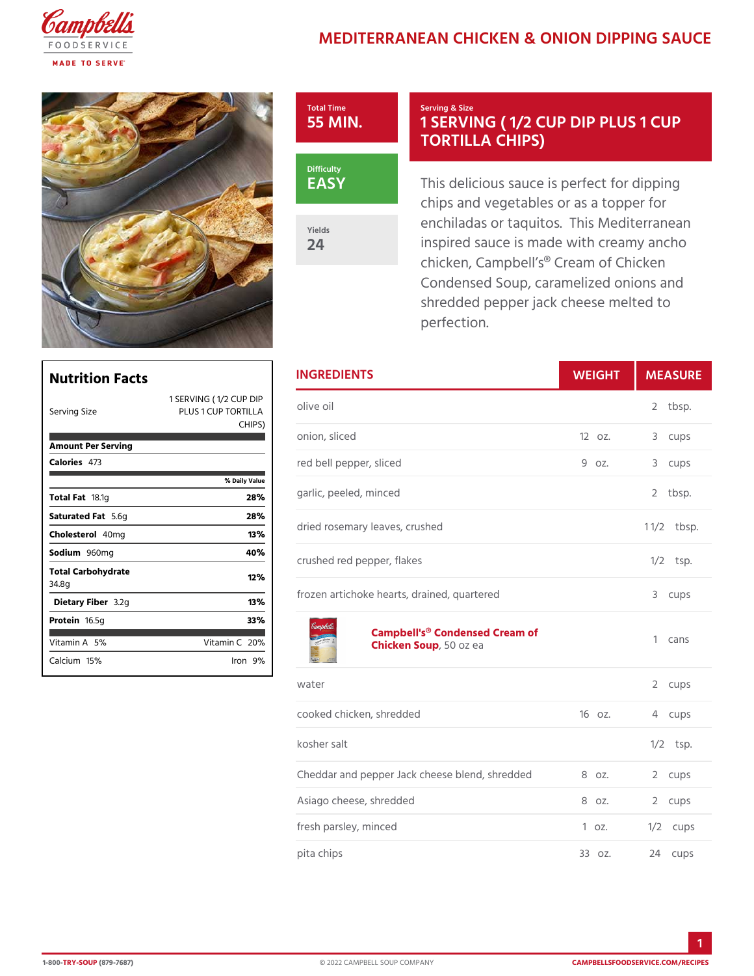## MEDITERRANEAN CHICKEN & ONION





Yields 24

## Serving & Size 1 SERVING ( 1/2 CUP DI TORTILLA CHIPS)

This delicious sauce is perfect chips and vegetables or as a to enchiladas or taquitos. This M inspired sauce is made with cre chicken, Campbell s® Cream of Condensed Soup, caramelized o shredded pepper jack cheese m perfection.

| <b>Nutrition Facts</b>      |                                                                          | <b>INGREDIENTS</b>                                       | WEIGH    |            | MEASU          |
|-----------------------------|--------------------------------------------------------------------------|----------------------------------------------------------|----------|------------|----------------|
| Serving Size                | 1 SERVING (1/2 CUP DIP<br>PLUS 1 CUP TORTPLLA <sup>e Oil</sup><br>CHIPS) |                                                          |          |            | 2 tbsp.        |
| Amount Per Serving          |                                                                          | onion, sliced                                            | $120z$ . |            | 3 cups         |
| Calorie4s73                 |                                                                          | red bell pepper, sliced                                  | 9 oz.    | 3          | cups           |
|                             | % Daily Value                                                            |                                                          |          |            |                |
| Total F <sub>a8.1g</sub>    | 28%                                                                      | garlic, peeled, minced                                   |          |            | 2 tbsp.        |
| Saturated 5F. 6tg           | 28%                                                                      | dried rosemary leaves, crushed                           |          |            | $1 \t1/2bsp$ . |
| Choleste40mg                | 13%                                                                      |                                                          |          |            |                |
| Sodium960mg                 | 40%                                                                      | crushed red pepper, flakes                               |          | $1/2$ tsp. |                |
| Total Carbohydrate<br>34.8g | 12%                                                                      |                                                          |          |            |                |
| Dietary F3 b2eg             | 13%                                                                      | frozen artichoke hearts, drained, quartered              |          |            | 3 cups         |
| Proteifi6.5g                | 33%                                                                      |                                                          |          |            |                |
| Vitamin5A%                  | Vitamin20 $%$                                                            | Campbell's® Condensed Cream of<br>Chicken Soopozea       |          |            | 1 cans         |
| $C$ alcium <sup>5</sup> %   | $l$ ron $9\%$                                                            |                                                          |          |            |                |
|                             |                                                                          | water                                                    |          | 2          | cups           |
|                             |                                                                          | cooked chicken, shredded                                 | $160z$ . |            | 4 cups         |
|                             |                                                                          | kosher salt                                              |          |            | $1/2$ tsp.     |
|                             |                                                                          | Cheddar and pepper Jack cheese blean do, zshre @d cedups |          |            |                |
|                             |                                                                          | Asiago cheese, shredded                                  | 8 oz.    |            | 2 cups         |
|                             |                                                                          | fresh parsley, minced                                    | 1 oz.    |            | $1/2$ cups     |
|                             |                                                                          | pita chips                                               | 330z.    |            | 24 cups        |